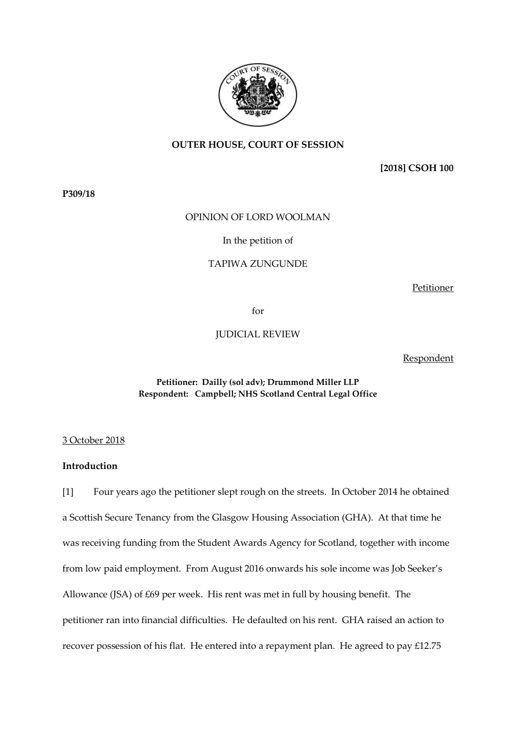

# **OUTER HOUSE, COURT OF SESSION**

**[2018] CSOH 100**

**P309/18** 

# OPINION OF LORD WOOLMAN

# In the petition of

## TAPIWA ZUNGUNDE

Petitioner

for

JUDICIAL REVIEW

Respondent

# **Petitioner: Dailly (sol adv); Drummond Miller LLP Respondent: Campbell; NHS Scotland Central Legal Office**

3 October 2018

# **Introduction**

[1] Four years ago the petitioner slept rough on the streets. In October 2014 he obtained a Scottish Secure Tenancy from the Glasgow Housing Association (GHA). At that time he was receiving funding from the Student Awards Agency for Scotland, together with income from low paid employment. From August 2016 onwards his sole income was Job Seeker's Allowance (JSA) of £69 per week. His rent was met in full by housing benefit. The petitioner ran into financial difficulties. He defaulted on his rent. GHA raised an action to recover possession of his flat. He entered into a repayment plan. He agreed to pay £12.75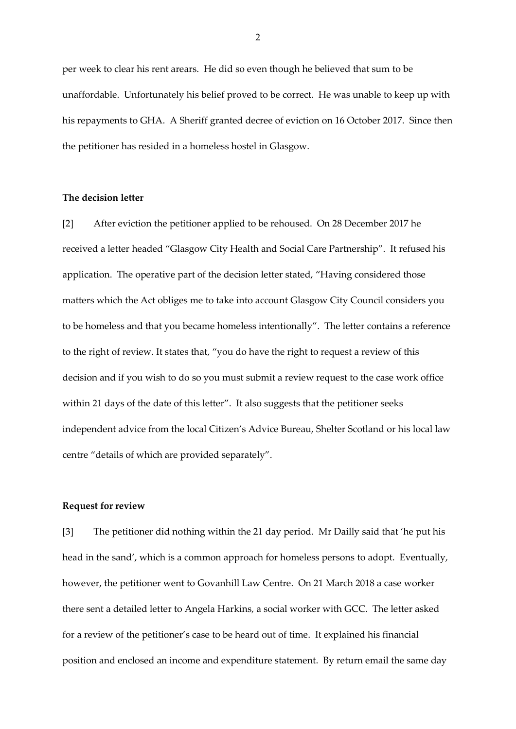per week to clear his rent arears. He did so even though he believed that sum to be unaffordable. Unfortunately his belief proved to be correct. He was unable to keep up with his repayments to GHA. A Sheriff granted decree of eviction on 16 October 2017. Since then the petitioner has resided in a homeless hostel in Glasgow.

## **The decision letter**

[2] After eviction the petitioner applied to be rehoused. On 28 December 2017 he received a letter headed "Glasgow City Health and Social Care Partnership". It refused his application. The operative part of the decision letter stated, "Having considered those matters which the Act obliges me to take into account Glasgow City Council considers you to be homeless and that you became homeless intentionally". The letter contains a reference to the right of review. It states that, "you do have the right to request a review of this decision and if you wish to do so you must submit a review request to the case work office within 21 days of the date of this letter". It also suggests that the petitioner seeks independent advice from the local Citizen's Advice Bureau, Shelter Scotland or his local law centre "details of which are provided separately".

# **Request for review**

[3] The petitioner did nothing within the 21 day period. Mr Dailly said that 'he put his head in the sand', which is a common approach for homeless persons to adopt. Eventually, however, the petitioner went to Govanhill Law Centre. On 21 March 2018 a case worker there sent a detailed letter to Angela Harkins, a social worker with GCC. The letter asked for a review of the petitioner's case to be heard out of time. It explained his financial position and enclosed an income and expenditure statement. By return email the same day

 $\mathfrak{D}$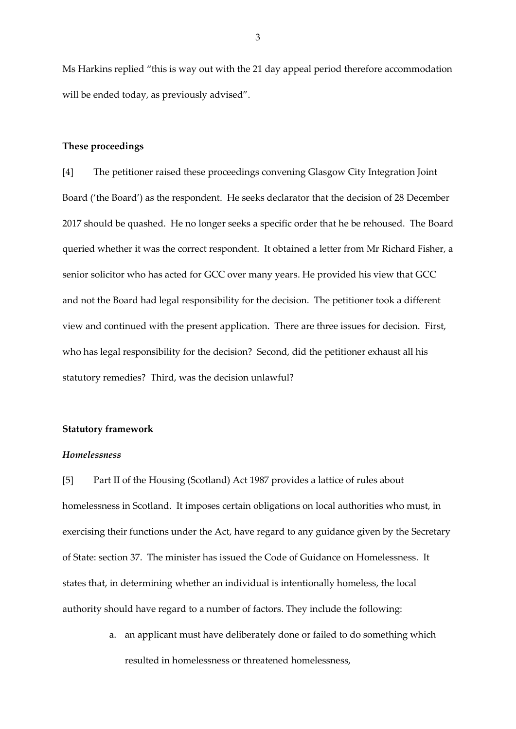Ms Harkins replied "this is way out with the 21 day appeal period therefore accommodation will be ended today, as previously advised".

#### **These proceedings**

[4] The petitioner raised these proceedings convening Glasgow City Integration Joint Board ('the Board') as the respondent. He seeks declarator that the decision of 28 December 2017 should be quashed. He no longer seeks a specific order that he be rehoused. The Board queried whether it was the correct respondent. It obtained a letter from Mr Richard Fisher, a senior solicitor who has acted for GCC over many years. He provided his view that GCC and not the Board had legal responsibility for the decision. The petitioner took a different view and continued with the present application. There are three issues for decision. First, who has legal responsibility for the decision? Second, did the petitioner exhaust all his statutory remedies? Third, was the decision unlawful?

#### **Statutory framework**

#### *Homelessness*

[5] Part II of the Housing (Scotland) Act 1987 provides a lattice of rules about homelessness in Scotland. It imposes certain obligations on local authorities who must, in exercising their functions under the Act, have regard to any guidance given by the Secretary of State: section 37. The minister has issued the Code of Guidance on Homelessness. It states that, in determining whether an individual is intentionally homeless, the local authority should have regard to a number of factors. They include the following:

> a. an applicant must have deliberately done or failed to do something which resulted in homelessness or threatened homelessness,

3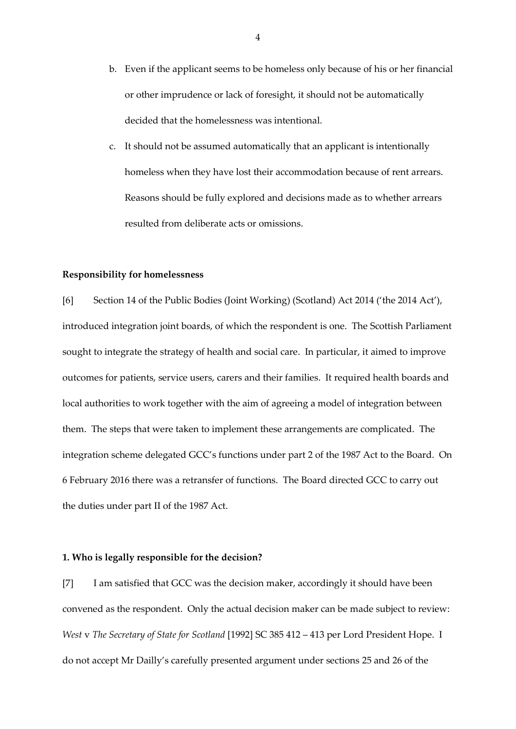- b. Even if the applicant seems to be homeless only because of his or her financial or other imprudence or lack of foresight, it should not be automatically decided that the homelessness was intentional.
- c. It should not be assumed automatically that an applicant is intentionally homeless when they have lost their accommodation because of rent arrears. Reasons should be fully explored and decisions made as to whether arrears resulted from deliberate acts or omissions.

#### **Responsibility for homelessness**

[6] Section 14 of the Public Bodies (Joint Working) (Scotland) Act 2014 ('the 2014 Act'), introduced integration joint boards, of which the respondent is one. The Scottish Parliament sought to integrate the strategy of health and social care. In particular, it aimed to improve outcomes for patients, service users, carers and their families. It required health boards and local authorities to work together with the aim of agreeing a model of integration between them. The steps that were taken to implement these arrangements are complicated. The integration scheme delegated GCC's functions under part 2 of the 1987 Act to the Board. On 6 February 2016 there was a retransfer of functions. The Board directed GCC to carry out the duties under part II of the 1987 Act.

#### **1. Who is legally responsible for the decision?**

[7] I am satisfied that GCC was the decision maker, accordingly it should have been convened as the respondent. Only the actual decision maker can be made subject to review: *West* v *The Secretary of State for Scotland* [1992] SC 385 412 – 413 per Lord President Hope. I do not accept Mr Dailly's carefully presented argument under sections 25 and 26 of the

4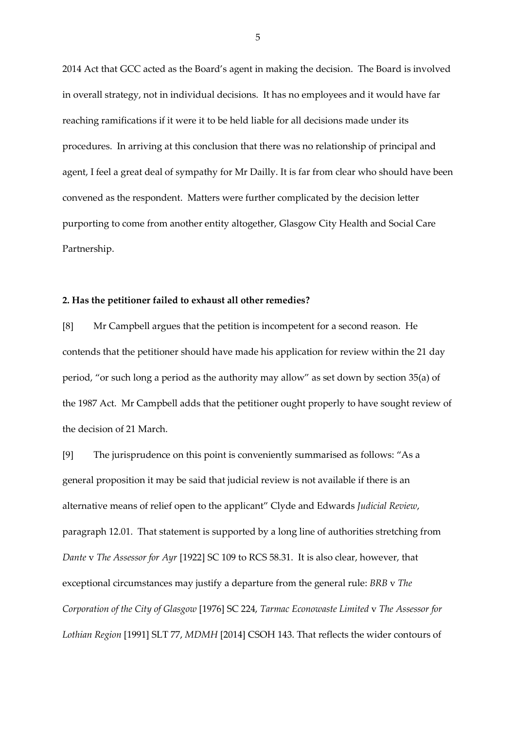2014 Act that GCC acted as the Board's agent in making the decision. The Board is involved in overall strategy, not in individual decisions. It has no employees and it would have far reaching ramifications if it were it to be held liable for all decisions made under its procedures. In arriving at this conclusion that there was no relationship of principal and agent, I feel a great deal of sympathy for Mr Dailly. It is far from clear who should have been convened as the respondent. Matters were further complicated by the decision letter purporting to come from another entity altogether, Glasgow City Health and Social Care Partnership.

### **2. Has the petitioner failed to exhaust all other remedies?**

[8] Mr Campbell argues that the petition is incompetent for a second reason. He contends that the petitioner should have made his application for review within the 21 day period, "or such long a period as the authority may allow" as set down by section 35(a) of the 1987 Act. Mr Campbell adds that the petitioner ought properly to have sought review of the decision of 21 March.

[9] The jurisprudence on this point is conveniently summarised as follows: "As a general proposition it may be said that judicial review is not available if there is an alternative means of relief open to the applicant" Clyde and Edwards *Judicial Review*, paragraph 12.01. That statement is supported by a long line of authorities stretching from *Dante* v *The Assessor for Ayr* [1922] SC 109 to RCS 58.31. It is also clear, however, that exceptional circumstances may justify a departure from the general rule: *BRB* v *The Corporation of the City of Glasgow* [1976] SC 224, *Tarmac Econowaste Limited* v *The Assessor for Lothian Region* [1991] SLT 77, *MDMH* [2014] CSOH 143. That reflects the wider contours of

5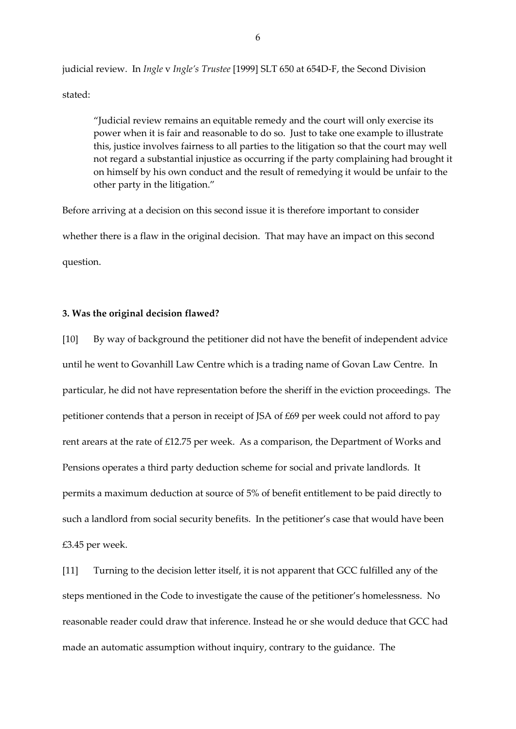judicial review. In *Ingle* v *Ingle's Trustee* [1999] SLT 650 at 654D-F, the Second Division stated:

"Judicial review remains an equitable remedy and the court will only exercise its power when it is fair and reasonable to do so. Just to take one example to illustrate this, justice involves fairness to all parties to the litigation so that the court may well not regard a substantial injustice as occurring if the party complaining had brought it on himself by his own conduct and the result of remedying it would be unfair to the other party in the litigation."

Before arriving at a decision on this second issue it is therefore important to consider whether there is a flaw in the original decision. That may have an impact on this second question.

#### **3. Was the original decision flawed?**

[10] By way of background the petitioner did not have the benefit of independent advice until he went to Govanhill Law Centre which is a trading name of Govan Law Centre. In particular, he did not have representation before the sheriff in the eviction proceedings. The petitioner contends that a person in receipt of JSA of £69 per week could not afford to pay rent arears at the rate of £12.75 per week. As a comparison, the Department of Works and Pensions operates a third party deduction scheme for social and private landlords. It permits a maximum deduction at source of 5% of benefit entitlement to be paid directly to such a landlord from social security benefits. In the petitioner's case that would have been £3.45 per week.

[11] Turning to the decision letter itself, it is not apparent that GCC fulfilled any of the steps mentioned in the Code to investigate the cause of the petitioner's homelessness. No reasonable reader could draw that inference. Instead he or she would deduce that GCC had made an automatic assumption without inquiry, contrary to the guidance. The